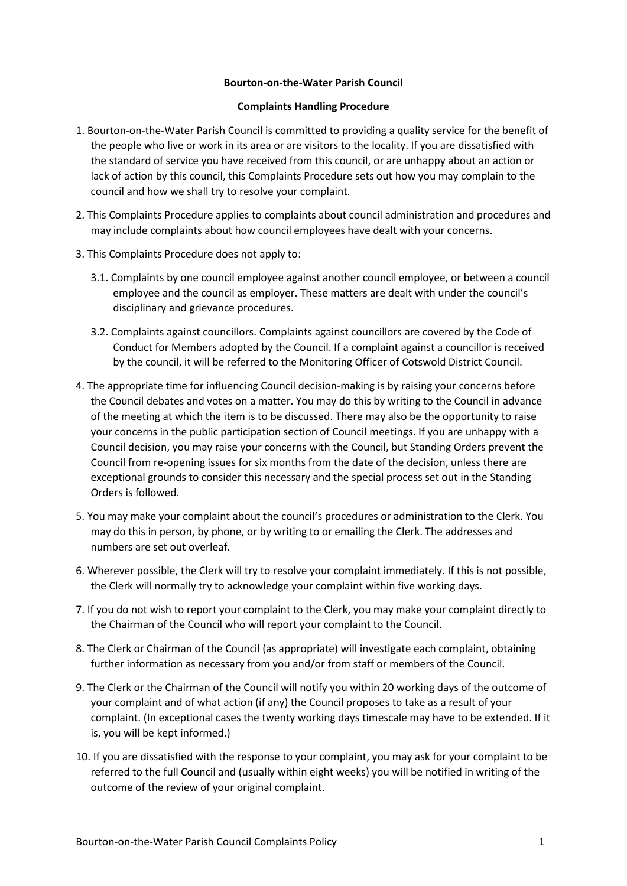## **Bourton-on-the-Water Parish Council**

## **Complaints Handling Procedure**

- 1. Bourton-on-the-Water Parish Council is committed to providing a quality service for the benefit of the people who live or work in its area or are visitors to the locality. If you are dissatisfied with the standard of service you have received from this council, or are unhappy about an action or lack of action by this council, this Complaints Procedure sets out how you may complain to the council and how we shall try to resolve your complaint.
- 2. This Complaints Procedure applies to complaints about council administration and procedures and may include complaints about how council employees have dealt with your concerns.
- 3. This Complaints Procedure does not apply to:
	- 3.1. Complaints by one council employee against another council employee, or between a council employee and the council as employer. These matters are dealt with under the council's disciplinary and grievance procedures.
	- 3.2. Complaints against councillors. Complaints against councillors are covered by the Code of Conduct for Members adopted by the Council. If a complaint against a councillor is received by the council, it will be referred to the Monitoring Officer of Cotswold District Council.
- 4. The appropriate time for influencing Council decision-making is by raising your concerns before the Council debates and votes on a matter. You may do this by writing to the Council in advance of the meeting at which the item is to be discussed. There may also be the opportunity to raise your concerns in the public participation section of Council meetings. If you are unhappy with a Council decision, you may raise your concerns with the Council, but Standing Orders prevent the Council from re-opening issues for six months from the date of the decision, unless there are exceptional grounds to consider this necessary and the special process set out in the Standing Orders is followed.
- 5. You may make your complaint about the council's procedures or administration to the Clerk. You may do this in person, by phone, or by writing to or emailing the Clerk. The addresses and numbers are set out overleaf.
- 6. Wherever possible, the Clerk will try to resolve your complaint immediately. If this is not possible, the Clerk will normally try to acknowledge your complaint within five working days.
- 7. If you do not wish to report your complaint to the Clerk, you may make your complaint directly to the Chairman of the Council who will report your complaint to the Council.
- 8. The Clerk or Chairman of the Council (as appropriate) will investigate each complaint, obtaining further information as necessary from you and/or from staff or members of the Council.
- 9. The Clerk or the Chairman of the Council will notify you within 20 working days of the outcome of your complaint and of what action (if any) the Council proposes to take as a result of your complaint. (In exceptional cases the twenty working days timescale may have to be extended. If it is, you will be kept informed.)
- 10. If you are dissatisfied with the response to your complaint, you may ask for your complaint to be referred to the full Council and (usually within eight weeks) you will be notified in writing of the outcome of the review of your original complaint.